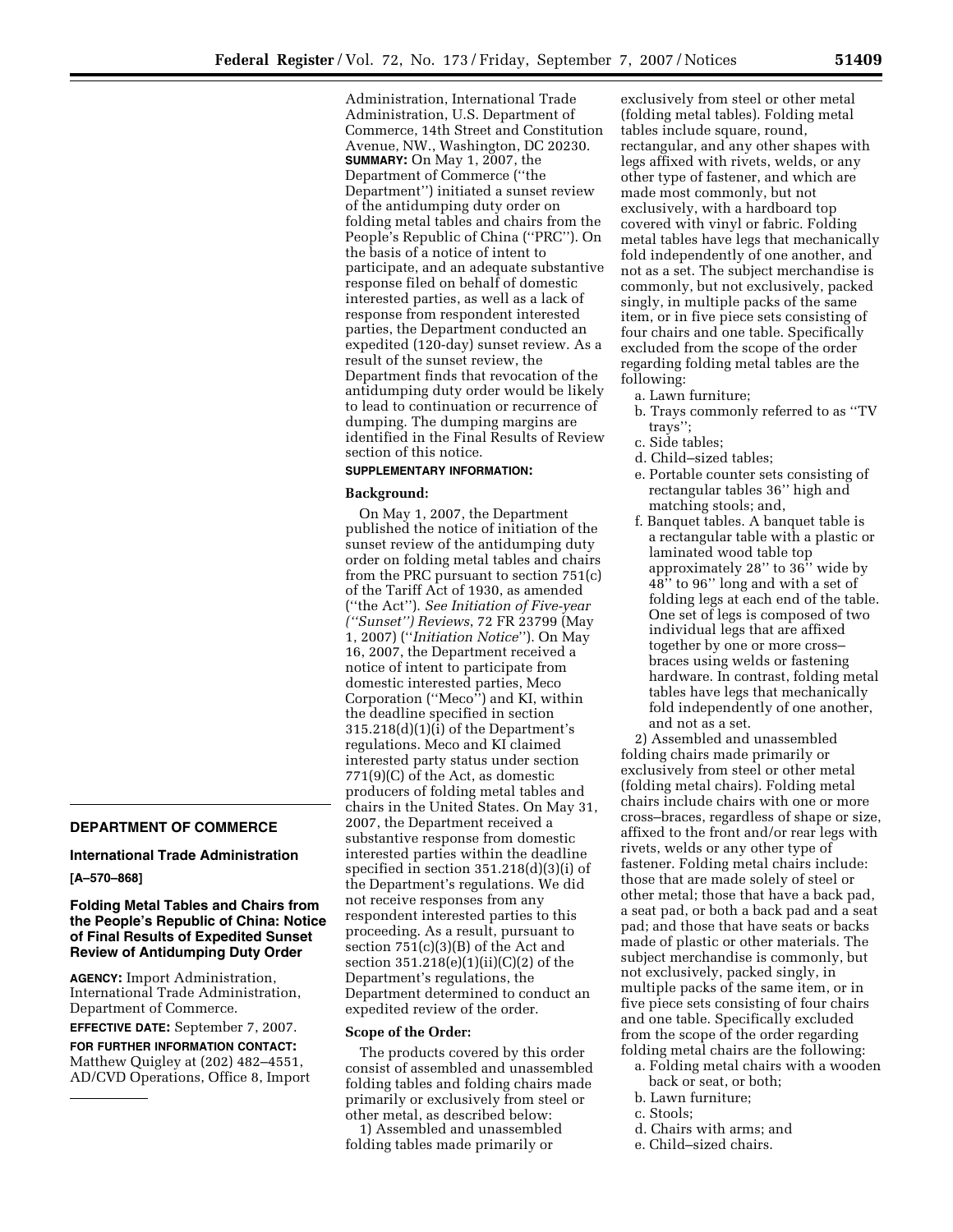Administration, International Trade Administration, U.S. Department of Commerce, 14th Street and Constitution Avenue, NW., Washington, DC 20230. **SUMMARY:** On May 1, 2007, the Department of Commerce (''the Department'') initiated a sunset review of the antidumping duty order on folding metal tables and chairs from the People's Republic of China (''PRC''). On the basis of a notice of intent to participate, and an adequate substantive response filed on behalf of domestic interested parties, as well as a lack of response from respondent interested parties, the Department conducted an expedited (120-day) sunset review. As a result of the sunset review, the Department finds that revocation of the antidumping duty order would be likely to lead to continuation or recurrence of dumping. The dumping margins are identified in the Final Results of Review section of this notice.

## **SUPPLEMENTARY INFORMATION:**

### **Background:**

On May 1, 2007, the Department published the notice of initiation of the sunset review of the antidumping duty order on folding metal tables and chairs from the PRC pursuant to section 751(c) of the Tariff Act of 1930, as amended (''the Act''). *See Initiation of Five-year (''Sunset'') Reviews*, 72 FR 23799 (May 1, 2007) (''*Initiation Notice*''). On May 16, 2007, the Department received a notice of intent to participate from domestic interested parties, Meco Corporation (''Meco'') and KI, within the deadline specified in section 315.218(d)(1)(i) of the Department's regulations. Meco and KI claimed interested party status under section 771(9)(C) of the Act, as domestic producers of folding metal tables and chairs in the United States. On May 31, 2007, the Department received a substantive response from domestic interested parties within the deadline specified in section 351.218(d)(3)(i) of the Department's regulations. We did not receive responses from any respondent interested parties to this proceeding. As a result, pursuant to section 751(c)(3)(B) of the Act and section 351.218(e)(1)(ii)(C)(2) of the Department's regulations, the Department determined to conduct an expedited review of the order.

#### **Scope of the Order:**

The products covered by this order consist of assembled and unassembled folding tables and folding chairs made primarily or exclusively from steel or other metal, as described below:

1) Assembled and unassembled folding tables made primarily or

exclusively from steel or other metal (folding metal tables). Folding metal tables include square, round, rectangular, and any other shapes with legs affixed with rivets, welds, or any other type of fastener, and which are made most commonly, but not exclusively, with a hardboard top covered with vinyl or fabric. Folding metal tables have legs that mechanically fold independently of one another, and not as a set. The subject merchandise is commonly, but not exclusively, packed singly, in multiple packs of the same item, or in five piece sets consisting of four chairs and one table. Specifically excluded from the scope of the order regarding folding metal tables are the following:

- a. Lawn furniture;
- b. Trays commonly referred to as ''TV trays'';
- c. Side tables;
- d. Child–sized tables;
- e. Portable counter sets consisting of rectangular tables 36'' high and matching stools; and,
- f. Banquet tables. A banquet table is a rectangular table with a plastic or laminated wood table top approximately 28'' to 36'' wide by 48'' to 96'' long and with a set of folding legs at each end of the table. One set of legs is composed of two individual legs that are affixed together by one or more cross– braces using welds or fastening hardware. In contrast, folding metal tables have legs that mechanically fold independently of one another, and not as a set.

2) Assembled and unassembled folding chairs made primarily or exclusively from steel or other metal (folding metal chairs). Folding metal chairs include chairs with one or more cross–braces, regardless of shape or size, affixed to the front and/or rear legs with rivets, welds or any other type of fastener. Folding metal chairs include: those that are made solely of steel or other metal; those that have a back pad, a seat pad, or both a back pad and a seat pad; and those that have seats or backs made of plastic or other materials. The subject merchandise is commonly, but not exclusively, packed singly, in multiple packs of the same item, or in five piece sets consisting of four chairs and one table. Specifically excluded from the scope of the order regarding folding metal chairs are the following:

- a. Folding metal chairs with a wooden back or seat, or both;
- b. Lawn furniture;
- c. Stools;
- d. Chairs with arms; and
- e. Child–sized chairs.

# **DEPARTMENT OF COMMERCE**

# **International Trade Administration**

## **[A–570–868]**

## **Folding Metal Tables and Chairs from the People's Republic of China: Notice of Final Results of Expedited Sunset Review of Antidumping Duty Order**

**AGENCY:** Import Administration, International Trade Administration, Department of Commerce.

**EFFECTIVE DATE:** September 7, 2007.

**FOR FURTHER INFORMATION CONTACT:**  Matthew Quigley at (202) 482–4551, AD/CVD Operations, Office 8, Import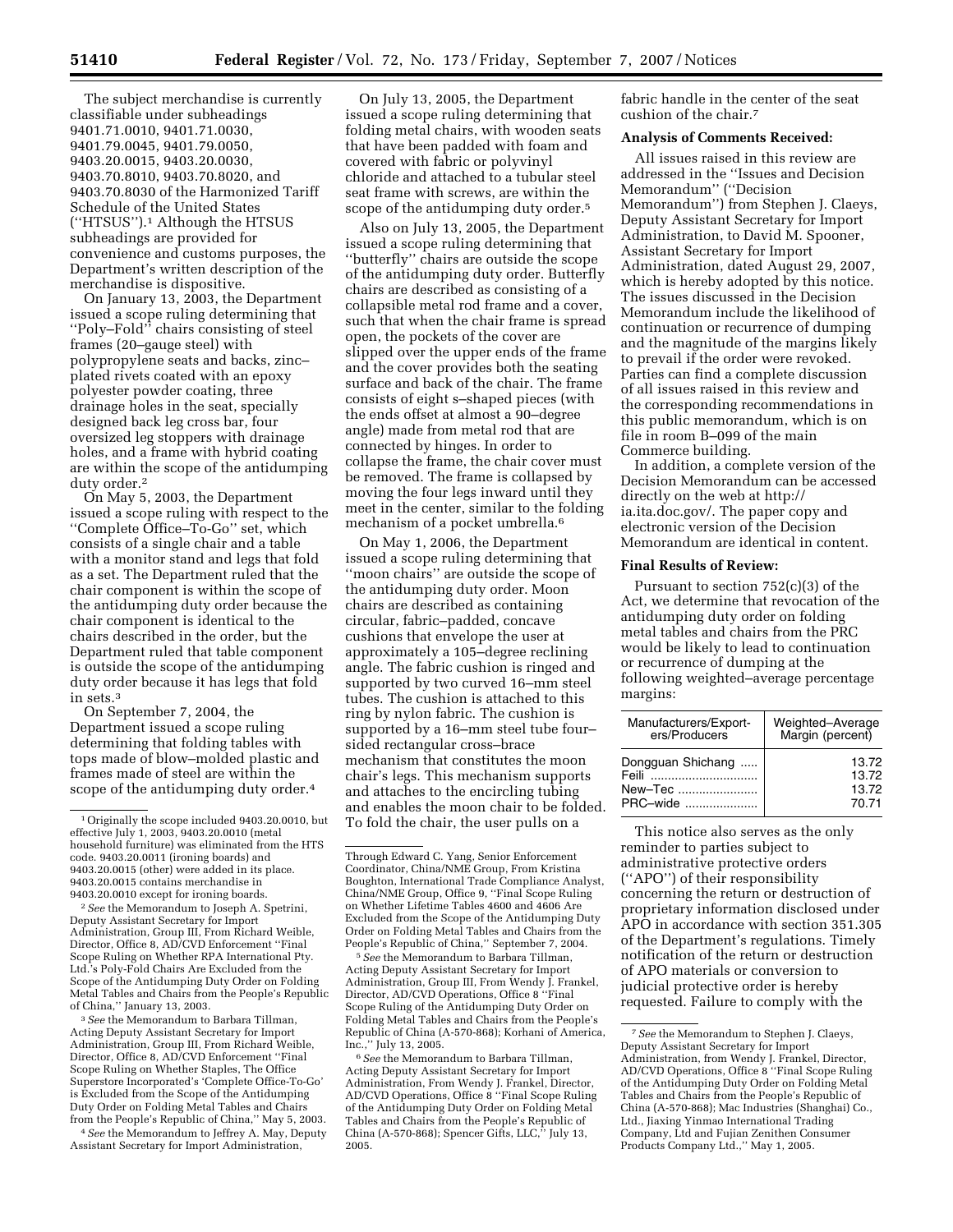The subject merchandise is currently classifiable under subheadings 9401.71.0010, 9401.71.0030, 9401.79.0045, 9401.79.0050, 9403.20.0015, 9403.20.0030, 9403.70.8010, 9403.70.8020, and 9403.70.8030 of the Harmonized Tariff Schedule of the United States (''HTSUS'').1 Although the HTSUS subheadings are provided for convenience and customs purposes, the Department's written description of the merchandise is dispositive.

On January 13, 2003, the Department issued a scope ruling determining that ''Poly–Fold'' chairs consisting of steel frames (20–gauge steel) with polypropylene seats and backs, zinc– plated rivets coated with an epoxy polyester powder coating, three drainage holes in the seat, specially designed back leg cross bar, four oversized leg stoppers with drainage holes, and a frame with hybrid coating are within the scope of the antidumping duty order.2

On May 5, 2003, the Department issued a scope ruling with respect to the ''Complete Office–To-Go'' set, which consists of a single chair and a table with a monitor stand and legs that fold as a set. The Department ruled that the chair component is within the scope of the antidumping duty order because the chair component is identical to the chairs described in the order, but the Department ruled that table component is outside the scope of the antidumping duty order because it has legs that fold in sets.3

On September 7, 2004, the Department issued a scope ruling determining that folding tables with tops made of blow–molded plastic and frames made of steel are within the scope of the antidumping duty order.4

2*See* the Memorandum to Joseph A. Spetrini, Deputy Assistant Secretary for Import Administration, Group III, From Richard Weible, Director, Office 8, AD/CVD Enforcement ''Final Scope Ruling on Whether RPA International Pty. Ltd.'s Poly-Fold Chairs Are Excluded from the Scope of the Antidumping Duty Order on Folding Metal Tables and Chairs from the People's Republic of China,'' January 13, 2003.

3*See* the Memorandum to Barbara Tillman, Acting Deputy Assistant Secretary for Import Administration, Group III, From Richard Weible, Director, Office 8, AD/CVD Enforcement ''Final Scope Ruling on Whether Staples, The Office Superstore Incorporated's 'Complete Office-To-Go' is Excluded from the Scope of the Antidumping Duty Order on Folding Metal Tables and Chairs from the People's Republic of China,'' May 5, 2003.

4*See* the Memorandum to Jeffrey A. May, Deputy Assistant Secretary for Import Administration,

On July 13, 2005, the Department issued a scope ruling determining that folding metal chairs, with wooden seats that have been padded with foam and covered with fabric or polyvinyl chloride and attached to a tubular steel seat frame with screws, are within the scope of the antidumping duty order.<sup>5</sup>

Also on July 13, 2005, the Department issued a scope ruling determining that ''butterfly'' chairs are outside the scope of the antidumping duty order. Butterfly chairs are described as consisting of a collapsible metal rod frame and a cover, such that when the chair frame is spread open, the pockets of the cover are slipped over the upper ends of the frame and the cover provides both the seating surface and back of the chair. The frame consists of eight s–shaped pieces (with the ends offset at almost a 90–degree angle) made from metal rod that are connected by hinges. In order to collapse the frame, the chair cover must be removed. The frame is collapsed by moving the four legs inward until they meet in the center, similar to the folding mechanism of a pocket umbrella.6

On May 1, 2006, the Department issued a scope ruling determining that ''moon chairs'' are outside the scope of the antidumping duty order. Moon chairs are described as containing circular, fabric–padded, concave cushions that envelope the user at approximately a 105–degree reclining angle. The fabric cushion is ringed and supported by two curved 16–mm steel tubes. The cushion is attached to this ring by nylon fabric. The cushion is supported by a 16–mm steel tube four– sided rectangular cross–brace mechanism that constitutes the moon chair's legs. This mechanism supports and attaches to the encircling tubing and enables the moon chair to be folded. To fold the chair, the user pulls on a

5*See* the Memorandum to Barbara Tillman, Acting Deputy Assistant Secretary for Import Administration, Group III, From Wendy J. Frankel, Director, AD/CVD Operations, Office 8 ''Final Scope Ruling of the Antidumping Duty Order on Folding Metal Tables and Chairs from the People's Republic of China (A-570-868); Korhani of America, Inc.,'' July 13, 2005.

6*See* the Memorandum to Barbara Tillman, Acting Deputy Assistant Secretary for Import Administration, From Wendy J. Frankel, Director, AD/CVD Operations, Office 8 ''Final Scope Ruling of the Antidumping Duty Order on Folding Metal Tables and Chairs from the People's Republic of China (A-570-868); Spencer Gifts, LLC,'' July 13, 2005.

fabric handle in the center of the seat cushion of the chair.7

### **Analysis of Comments Received:**

All issues raised in this review are addressed in the ''Issues and Decision Memorandum'' (''Decision Memorandum'') from Stephen J. Claeys, Deputy Assistant Secretary for Import Administration, to David M. Spooner, Assistant Secretary for Import Administration, dated August 29, 2007, which is hereby adopted by this notice. The issues discussed in the Decision Memorandum include the likelihood of continuation or recurrence of dumping and the magnitude of the margins likely to prevail if the order were revoked. Parties can find a complete discussion of all issues raised in this review and the corresponding recommendations in this public memorandum, which is on file in room B–099 of the main Commerce building.

In addition, a complete version of the Decision Memorandum can be accessed directly on the web at http:// ia.ita.doc.gov/. The paper copy and electronic version of the Decision Memorandum are identical in content.

### **Final Results of Review:**

Pursuant to section 752(c)(3) of the Act, we determine that revocation of the antidumping duty order on folding metal tables and chairs from the PRC would be likely to lead to continuation or recurrence of dumping at the following weighted–average percentage margins:

| Manufacturers/Export-<br>ers/Producers            | Weighted-Average<br>Margin (percent) |
|---------------------------------------------------|--------------------------------------|
| Dongguan Shichang<br>Feili<br>New-Tec<br>PRC-wide | 13.72<br>13.72<br>13.72<br>70.71     |

This notice also serves as the only reminder to parties subject to administrative protective orders (''APO'') of their responsibility concerning the return or destruction of proprietary information disclosed under APO in accordance with section 351.305 of the Department's regulations. Timely notification of the return or destruction of APO materials or conversion to judicial protective order is hereby requested. Failure to comply with the

<sup>1</sup>Originally the scope included 9403.20.0010, but effective July 1, 2003, 9403.20.0010 (metal household furniture) was eliminated from the HTS code. 9403.20.0011 (ironing boards) and 9403.20.0015 (other) were added in its place. 9403.20.0015 contains merchandise in 9403.20.0010 except for ironing boards.

Through Edward C. Yang, Senior Enforcement Coordinator, China/NME Group, From Kristina Boughton, International Trade Compliance Analyst, China/NME Group, Office 9, ''Final Scope Ruling on Whether Lifetime Tables 4600 and 4606 Are Excluded from the Scope of the Antidumping Duty Order on Folding Metal Tables and Chairs from the People's Republic of China,'' September 7, 2004.

<sup>7</sup>*See* the Memorandum to Stephen J. Claeys, Deputy Assistant Secretary for Import Administration, from Wendy J. Frankel, Director, AD/CVD Operations, Office 8 ''Final Scope Ruling of the Antidumping Duty Order on Folding Metal Tables and Chairs from the People's Republic of China (A-570-868); Mac Industries (Shanghai) Co., Ltd., Jiaxing Yinmao International Trading Company, Ltd and Fujian Zenithen Consumer Products Company Ltd.,'' May 1, 2005.